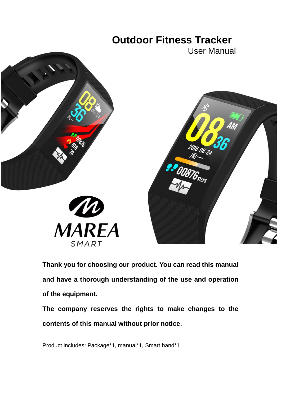

**Thank you for choosing our product. You can read this manual and have a thorough understanding of the use and operation of the equipment.**

**The company reserves the rights to make changes to the contents of this manual without prior notice.**

Product includes: Package\*1, manual\*1, Smart band\*1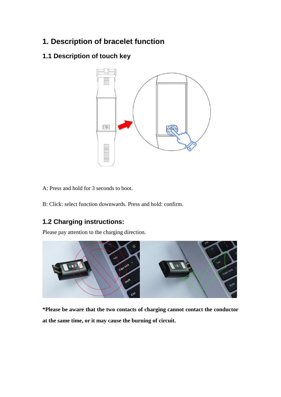# **1. Description of bracelet function**

# **1.1 Description of touch key**



A: Press and hold for 3 seconds to boot.

B: Click: select function downwards. Press and hold: confirm.

# **1.2 Charging instructions:**

Please pay attention to the charging direction.



**\*Please be aware that the two contacts of charging cannot contact the conductor at the same time, or it may cause the burning of circuit.**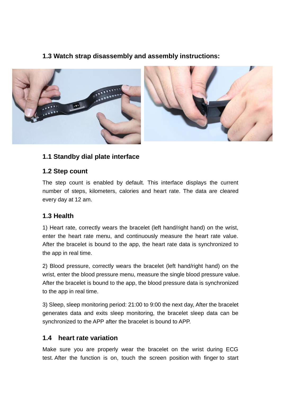# **1.3 Watch strap disassembly and assembly instructions:**



# **1.1 Standby dial plate interface**

# **1.2 Step count**

The step count is enabled by default. This interface displays the current number of steps, kilometers, calories and heart rate. The data are cleared every day at 12 am.

# **1.3 Health**

1) Heart rate, correctly wears the bracelet (left hand/right hand) on the wrist, enter the heart rate menu, and continuously measure the heart rate value. After the bracelet is bound to the app, the heart rate data is synchronized to the app in real time.

2) Blood pressure, correctly wears the bracelet (left hand/right hand) on the wrist, enter the blood pressure menu, measure the single blood pressure value. After the bracelet is bound to the app, the blood pressure data is synchronized to the app in real time.

3) Sleep, sleep monitoring period: 21:00 to 9:00 the next day, After the bracelet generates data and exits sleep monitoring, the bracelet sleep data can be synchronized to the APP after the bracelet is bound to APP.

# **1.4 heart rate variation**

Make sure you are properly wear the bracelet on the wrist during ECG test. After the function is on, touch the screen position with finger to start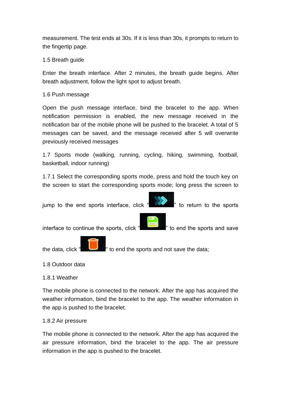measurement. The test ends at 30s. If it is less than 30s, it prompts to return to the fingertip page.

## 1.5 Breath guide

Enter the breath interface. After 2 minutes, the breath guide begins. After breath adjustment, follow the light spot to adjust breath.

## 1.6 Push message

Open the push message interface, bind the bracelet to the app. When notification permission is enabled, the new message received in the notification bar of the mobile phone will be pushed to the bracelet. A total of 5 messages can be saved, and the message received after 5 will overwrite previously received messages

1.7 Sports mode (walking, running, cycling, hiking, swimming, football, basketball, indoor running)

1.7.1 Select the corresponding sports mode, press and hold the touch key on the screen to start the corresponding sports mode; long press the screen to



## 1.8 Outdoor data

## 1.8.1 Weather

The mobile phone is connected to the network. After the app has acquired the weather information, bind the bracelet to the app. The weather information in the app is pushed to the bracelet.

## 1.8.2 Air pressure

The mobile phone is connected to the network. After the app has acquired the air pressure information, bind the bracelet to the app. The air pressure information in the app is pushed to the bracelet.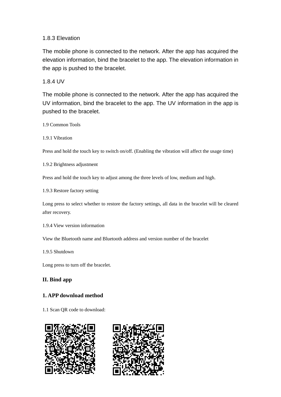## 1.8.3 Elevation

The mobile phone is connected to the network. After the app has acquired the elevation information, bind the bracelet to the app. The elevation information in the app is pushed to the bracelet.

1.8.4 UV

The mobile phone is connected to the network. After the app has acquired the UV information, bind the bracelet to the app. The UV information in the app is pushed to the bracelet.

1.9 Common Tools

1.9.1 Vibration

Press and hold the touch key to switch on/off. (Enabling the vibration will affect the usage time)

1.9.2 Brightness adjustment

Press and hold the touch key to adjust among the three levels of low, medium and high.

1.9.3 Restore factory setting

Long press to select whether to restore the factory settings, all data in the bracelet will be cleared after recovery.

1.9.4 View version information

View the Bluetooth name and Bluetooth address and version number of the bracelet

1.9.5 Shutdown

Long press to turn off the bracelet.

## **II. Bind app**

## **1. APP download method**

1.1 Scan QR code to download:



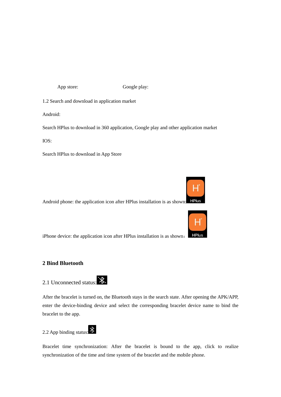App store: Google play:

1.2 Search and download in application market

Android:

Search HPlus to download in 360 application, Google play and other application market

IOS:

Search HPlus to download in App Store

**HPlus** Android phone: the application icon after HPlus installation is as shown:



iPhone device: the application icon after HPlus installation is as shown:

### **2 Bind Bluetooth**

# 2.1 Unconnected status:

After the bracelet is turned on, the Bluetooth stays in the search state. After opening the APK/APP, enter the device-binding device and select the corresponding bracelet device name to bind the bracelet to the app.

# 2.2 App binding status:  $\}$

Bracelet time synchronization: After the bracelet is bound to the app, click to realize synchronization of the time and time system of the bracelet and the mobile phone.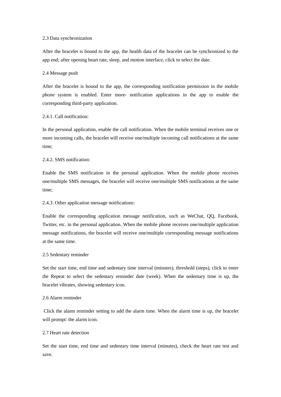#### 2.3 Data synchronization

After the bracelet is bound to the app, the health data of the bracelet can be synchronized to the app end; after opening heart rate, sleep, and motion interface, click to select the date.

#### 2.4 Message push

After the bracelet is bound to the app, the corresponding notification permission in the mobile phone system is enabled. Enter more- notification applications in the app to enable the corresponding third-party application.

#### 2.4.1. Call notification:

In the personal application, enable the call notification. When the mobile terminal receives one or more incoming calls, the bracelet will receive one/multiple incoming call notifications at the same time;

#### 2.4.2. SMS notification:

Enable the SMS notification in the personal application. When the mobile phone receives one/multiple SMS messages, the bracelet will receive one/multiple SMS notifications at the same time;

#### 2.4.3. Other application message notifications:

Enable the corresponding application message notification, such as WeChat, QQ, Facebook, Twitter, etc. in the personal application. When the mobile phone receives one/multiple application message notifications, the bracelet will receive one/multiple corresponding message notifications at the same time.

#### 2.5 Sedentary reminder

Set the start time, end time and sedentary time interval (minutes), threshold (steps), click to enter the Repeat to select the sedentary reminder date (week). When the sedentary time is up, the bracelet vibrates, showing sedentary icon.

#### 2.6 Alarm reminder

Click the alarm reminder setting to add the alarm time. When the alarm time is up, the bracelet will prompt: the alarm icon.

#### 2.7 Heart rate detection

Set the start time, end time and sedentary time interval (minutes), check the heart rate test and save.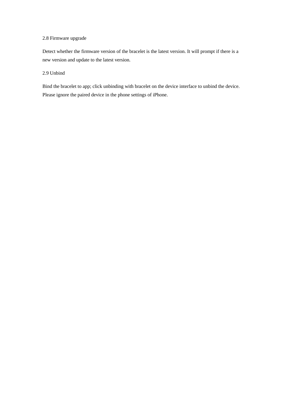#### 2.8 Firmware upgrade

Detect whether the firmware version of the bracelet is the latest version. It will prompt if there is a new version and update to the latest version.

#### 2.9 Unbind

Bind the bracelet to app; click unbinding with bracelet on the device interface to unbind the device. Please ignore the paired device in the phone settings of iPhone.